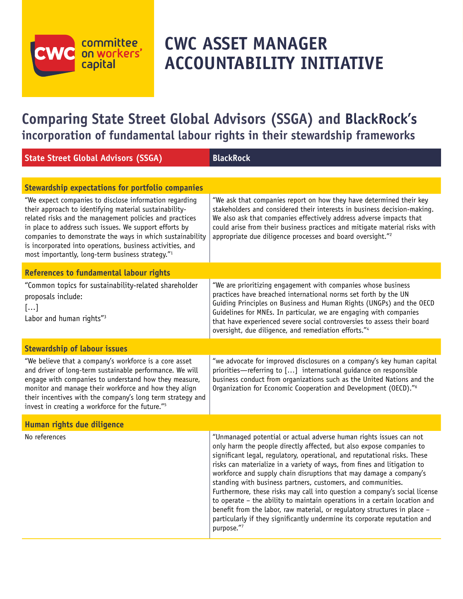# committee<br>on workers' capital

## **CWC ASSET MANAGER ACCOUNTABILITY INITIATIVE**

### **Comparing State Street Global Advisors (SSGA) and BlackRock's incorporation of fundamental labour rights in their stewardship frameworks**

Committee on Workers' Capital (CWC) | **SPOTLIGHT ON STATE STREET GLOBAL ADVISORS (SSGA)** <sup>|</sup> **The Role of Fundamental Labour Rights in Investment Stewardship 1**

| <b>State Street Global Advisors (SSGA)</b>                                                                                                                                                                                                                                                                                                                                                                                      | <b>BlackRock</b>                                                                                                                                                                                                                                                                                                                                                                                                                                                                                                                                                                                                                                                                                                                                                             |
|---------------------------------------------------------------------------------------------------------------------------------------------------------------------------------------------------------------------------------------------------------------------------------------------------------------------------------------------------------------------------------------------------------------------------------|------------------------------------------------------------------------------------------------------------------------------------------------------------------------------------------------------------------------------------------------------------------------------------------------------------------------------------------------------------------------------------------------------------------------------------------------------------------------------------------------------------------------------------------------------------------------------------------------------------------------------------------------------------------------------------------------------------------------------------------------------------------------------|
|                                                                                                                                                                                                                                                                                                                                                                                                                                 |                                                                                                                                                                                                                                                                                                                                                                                                                                                                                                                                                                                                                                                                                                                                                                              |
| <b>Stewardship expectations for portfolio companies</b>                                                                                                                                                                                                                                                                                                                                                                         |                                                                                                                                                                                                                                                                                                                                                                                                                                                                                                                                                                                                                                                                                                                                                                              |
| "We expect companies to disclose information regarding<br>their approach to identifying material sustainability-<br>related risks and the management policies and practices<br>in place to address such issues. We support efforts by<br>companies to demonstrate the ways in which sustainability<br>is incorporated into operations, business activities, and<br>most importantly, long-term business strategy." <sup>1</sup> | "We ask that companies report on how they have determined their key<br>stakeholders and considered their interests in business decision-making.<br>We also ask that companies effectively address adverse impacts that<br>could arise from their business practices and mitigate material risks with<br>appropriate due diligence processes and board oversight." <sup>2</sup>                                                                                                                                                                                                                                                                                                                                                                                               |
| <b>References to fundamental labour rights</b>                                                                                                                                                                                                                                                                                                                                                                                  |                                                                                                                                                                                                                                                                                                                                                                                                                                                                                                                                                                                                                                                                                                                                                                              |
| "Common topics for sustainability-related shareholder<br>proposals include:<br>[]<br>Labor and human rights" <sup>3</sup>                                                                                                                                                                                                                                                                                                       | "We are prioritizing engagement with companies whose business<br>practices have breached international norms set forth by the UN<br>Guiding Principles on Business and Human Rights (UNGPs) and the OECD<br>Guidelines for MNEs. In particular, we are engaging with companies<br>that have experienced severe social controversies to assess their board<br>oversight, due diligence, and remediation efforts."4                                                                                                                                                                                                                                                                                                                                                            |
| <b>Stewardship of labour issues</b>                                                                                                                                                                                                                                                                                                                                                                                             |                                                                                                                                                                                                                                                                                                                                                                                                                                                                                                                                                                                                                                                                                                                                                                              |
| "We believe that a company's workforce is a core asset<br>and driver of long-term sustainable performance. We will<br>engage with companies to understand how they measure,<br>monitor and manage their workforce and how they align<br>their incentives with the company's long term strategy and<br>invest in creating a workforce for the future." <sup>5</sup>                                                              | "we advocate for improved disclosures on a company's key human capital<br>priorities—referring to [] international guidance on responsible<br>business conduct from organizations such as the United Nations and the<br>Organization for Economic Cooperation and Development (OECD)." <sup>6</sup>                                                                                                                                                                                                                                                                                                                                                                                                                                                                          |
| Human rights due diligence                                                                                                                                                                                                                                                                                                                                                                                                      |                                                                                                                                                                                                                                                                                                                                                                                                                                                                                                                                                                                                                                                                                                                                                                              |
| No references                                                                                                                                                                                                                                                                                                                                                                                                                   | "Unmanaged potential or actual adverse human rights issues can not<br>only harm the people directly affected, but also expose companies to<br>significant legal, regulatory, operational, and reputational risks. These<br>risks can materialize in a variety of ways, from fines and litigation to<br>workforce and supply chain disruptions that may damage a company's<br>standing with business partners, customers, and communities.<br>Furthermore, these risks may call into question a company's social license<br>to operate - the ability to maintain operations in a certain location and<br>benefit from the labor, raw material, or regulatory structures in place -<br>particularly if they significantly undermine its corporate reputation and<br>purpose."7 |